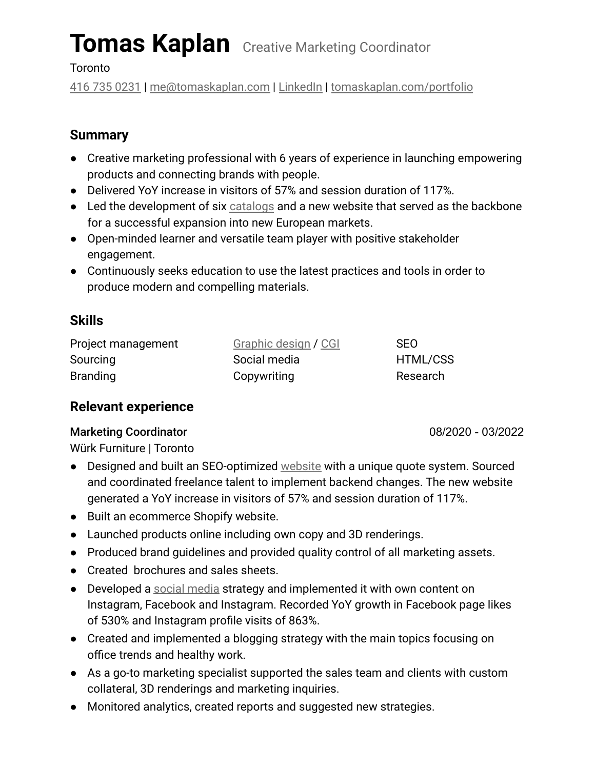# **Tomas Kaplan** Creative Marketing Coordinator

**Toronto** 

[416 735 0231](tel:4167350231) | [me@tomaskaplan.com](mailto:me@tomaskaplan.com) | [LinkedIn](https://www.linkedin.com/in/tomaskaplancom/) | [tomaskaplan.com/portfolio](https://tomaskaplan.com/portfolio)

# **Summary**

- Creative marketing professional with 6 years of experience in launching empowering products and connecting brands with people.
- Delivered YoY increase in visitors of 57% and session duration of 117%.
- Led the development of six [catalogs](https://www.tomaskaplan.com/portfolio/?vp_filter=portfolio_category%3Acreative-director) and a new website that served as the backbone for a successful expansion into new European markets.
- Open-minded learner and versatile team player with positive stakeholder engagement.
- Continuously seeks education to use the latest practices and tools in order to produce modern and compelling materials.

## **Skills**

| Project management | Graphic design / CGI | <b>SEO</b> |
|--------------------|----------------------|------------|
| Sourcing           | Social media         | HTML/CSS   |
| <b>Branding</b>    | Copywriting          | Research   |

# **Relevant experience**

### Marketing Coordinator **08/2020** - 03/2022

Würk Furniture | Toronto

- Designed and built an SEO-optimized [website](https://www.tomaskaplan.com/portfolio-2/wurk-furniture-website/) with a unique quote system. Sourced and coordinated freelance talent to implement backend changes. The new website generated a YoY increase in visitors of 57% and session duration of 117%.
- Built an ecommerce Shopify website.
- Launched products online including own copy and 3D renderings.
- Produced brand guidelines and provided quality control of all marketing assets.
- Created brochures and sales sheets.
- Developed a [social media](https://www.tomaskaplan.com/portfolio-2/socialmedia/) strategy and implemented it with own content on Instagram, Facebook and Instagram. Recorded YoY growth in Facebook page likes of 530% and Instagram profile visits of 863%.
- Created and implemented a blogging strategy with the main topics focusing on office trends and healthy work.
- As a go-to marketing specialist supported the sales team and clients with custom collateral, 3D renderings and marketing inquiries.
- Monitored analytics, created reports and suggested new strategies.